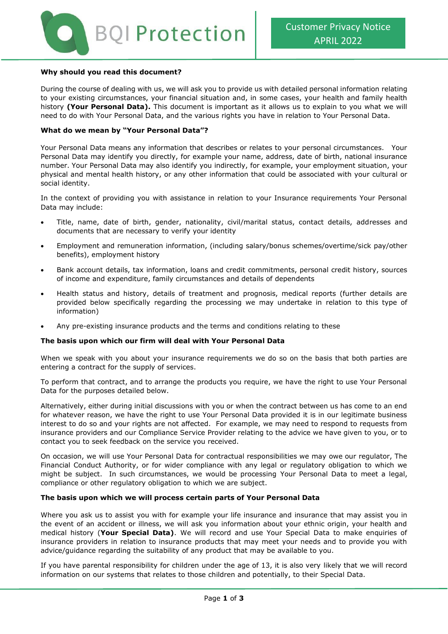

### **Why should you read this document?**

During the course of dealing with us, we will ask you to provide us with detailed personal information relating to your existing circumstances, your financial situation and, in some cases, your health and family health history **(Your Personal Data).** This document is important as it allows us to explain to you what we will need to do with Your Personal Data, and the various rights you have in relation to Your Personal Data.

#### **What do we mean by "Your Personal Data"?**

Your Personal Data means any information that describes or relates to your personal circumstances. Your Personal Data may identify you directly, for example your name, address, date of birth, national insurance number. Your Personal Data may also identify you indirectly, for example, your employment situation, your physical and mental health history, or any other information that could be associated with your cultural or social identity.

In the context of providing you with assistance in relation to your Insurance requirements Your Personal Data may include:

- Title, name, date of birth, gender, nationality, civil/marital status, contact details, addresses and documents that are necessary to verify your identity
- Employment and remuneration information, (including salary/bonus schemes/overtime/sick pay/other benefits), employment history
- Bank account details, tax information, loans and credit commitments, personal credit history, sources of income and expenditure, family circumstances and details of dependents
- Health status and history, details of treatment and prognosis, medical reports (further details are provided below specifically regarding the processing we may undertake in relation to this type of information)
- Any pre-existing insurance products and the terms and conditions relating to these

### **The basis upon which our firm will deal with Your Personal Data**

When we speak with you about your insurance requirements we do so on the basis that both parties are entering a contract for the supply of services.

To perform that contract, and to arrange the products you require, we have the right to use Your Personal Data for the purposes detailed below.

Alternatively, either during initial discussions with you or when the contract between us has come to an end for whatever reason, we have the right to use Your Personal Data provided it is in our legitimate business interest to do so and your rights are not affected. For example, we may need to respond to requests from insurance providers and our Compliance Service Provider relating to the advice we have given to you, or to contact you to seek feedback on the service you received.

On occasion, we will use Your Personal Data for contractual responsibilities we may owe our regulator, The Financial Conduct Authority, or for wider compliance with any legal or regulatory obligation to which we might be subject. In such circumstances, we would be processing Your Personal Data to meet a legal, compliance or other regulatory obligation to which we are subject.

### **The basis upon which we will process certain parts of Your Personal Data**

Where you ask us to assist you with for example your life insurance and insurance that may assist you in the event of an accident or illness, we will ask you information about your ethnic origin, your health and medical history (**Your Special Data)**. We will record and use Your Special Data to make enquiries of insurance providers in relation to insurance products that may meet your needs and to provide you with advice/guidance regarding the suitability of any product that may be available to you.

If you have parental responsibility for children under the age of 13, it is also very likely that we will record information on our systems that relates to those children and potentially, to their Special Data.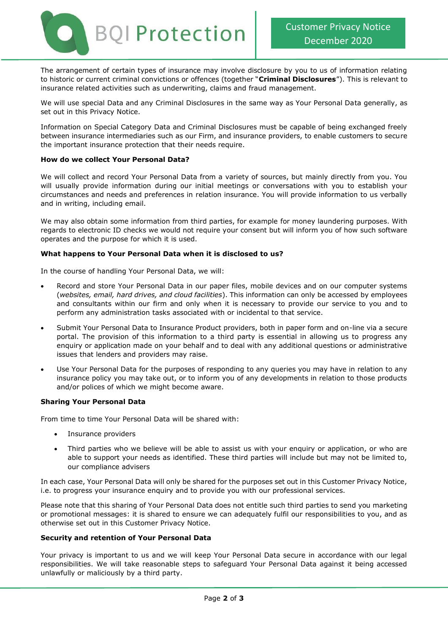

The arrangement of certain types of insurance may involve disclosure by you to us of information relating to historic or current criminal convictions or offences (together "**Criminal Disclosures**"). This is relevant to insurance related activities such as underwriting, claims and fraud management.

We will use special Data and any Criminal Disclosures in the same way as Your Personal Data generally, as set out in this Privacy Notice.

Information on Special Category Data and Criminal Disclosures must be capable of being exchanged freely between insurance intermediaries such as our Firm, and insurance providers, to enable customers to secure the important insurance protection that their needs require.

## **How do we collect Your Personal Data?**

We will collect and record Your Personal Data from a variety of sources, but mainly directly from you. You will usually provide information during our initial meetings or conversations with you to establish your circumstances and needs and preferences in relation insurance. You will provide information to us verbally and in writing, including email.

We may also obtain some information from third parties, for example for money laundering purposes. With regards to electronic ID checks we would not require your consent but will inform you of how such software operates and the purpose for which it is used.

## **What happens to Your Personal Data when it is disclosed to us?**

In the course of handling Your Personal Data, we will:

- Record and store Your Personal Data in our paper files, mobile devices and on our computer systems (*websites, email, hard drives, and cloud facilities*). This information can only be accessed by employees and consultants within our firm and only when it is necessary to provide our service to you and to perform any administration tasks associated with or incidental to that service.
- Submit Your Personal Data to Insurance Product providers, both in paper form and on-line via a secure portal. The provision of this information to a third party is essential in allowing us to progress any enquiry or application made on your behalf and to deal with any additional questions or administrative issues that lenders and providers may raise.
- Use Your Personal Data for the purposes of responding to any queries you may have in relation to any insurance policy you may take out, or to inform you of any developments in relation to those products and/or polices of which we might become aware.

### **Sharing Your Personal Data**

From time to time Your Personal Data will be shared with:

- Insurance providers
- Third parties who we believe will be able to assist us with your enquiry or application, or who are able to support your needs as identified. These third parties will include but may not be limited to, our compliance advisers

In each case, Your Personal Data will only be shared for the purposes set out in this Customer Privacy Notice, i.e. to progress your insurance enquiry and to provide you with our professional services.

Please note that this sharing of Your Personal Data does not entitle such third parties to send you marketing or promotional messages: it is shared to ensure we can adequately fulfil our responsibilities to you, and as otherwise set out in this Customer Privacy Notice.

### **Security and retention of Your Personal Data**

Your privacy is important to us and we will keep Your Personal Data secure in accordance with our legal responsibilities. We will take reasonable steps to safeguard Your Personal Data against it being accessed unlawfully or maliciously by a third party.